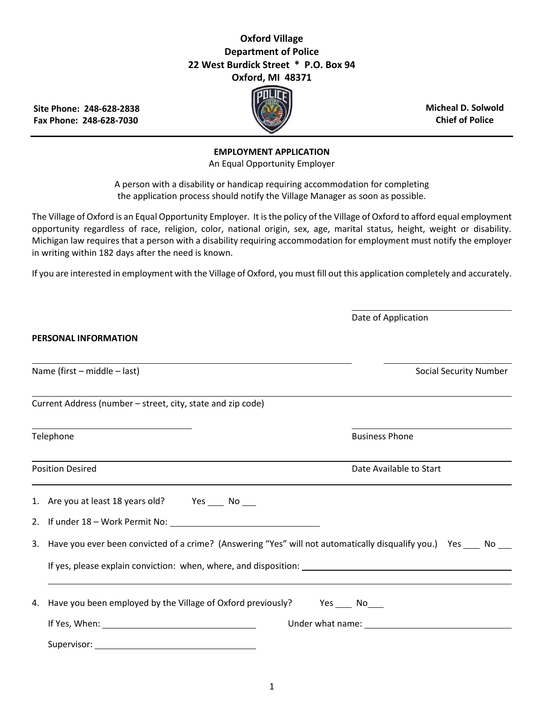## **Oxford Village Department of Police 22 West Burdick Street \* P.O. Box 94 Oxford, MI 48371**

**Site Phone: 248-628-2838 Fax Phone: 248-628-7030**



**Micheal D. Solwold Chief of Police**

Date of Application

## **EMPLOYMENT APPLICATION**

An Equal Opportunity Employer

A person with a disability or handicap requiring accommodation for completing the application process should notify the Village Manager as soon as possible.

The Village of Oxford is an Equal Opportunity Employer. It is the policy of the Village of Oxford to afford equal employment opportunity regardless of race, religion, color, national origin, sex, age, marital status, height, weight or disability. Michigan law requires that a person with a disability requiring accommodation for employment must notify the employer in writing within 182 days after the need is known.

If you are interested in employment with the Village of Oxford, you must fill out this application completely and accurately.

| PERSONAL INFORMATION                                                                                                |                                                                                                                                                                                                                               |  |  |
|---------------------------------------------------------------------------------------------------------------------|-------------------------------------------------------------------------------------------------------------------------------------------------------------------------------------------------------------------------------|--|--|
| Name (first – middle – last)                                                                                        | <b>Social Security Number</b>                                                                                                                                                                                                 |  |  |
| Current Address (number - street, city, state and zip code)                                                         |                                                                                                                                                                                                                               |  |  |
| Telephone                                                                                                           | <b>Business Phone</b>                                                                                                                                                                                                         |  |  |
| <b>Position Desired</b><br><u> 1989 - Johann Stoff, amerikansk politiker (* 1908)</u>                               | Date Available to Start                                                                                                                                                                                                       |  |  |
| 1. Are you at least 18 years old? Yes ____ No ___                                                                   |                                                                                                                                                                                                                               |  |  |
| 2. If under 18 - Work Permit No:                                                                                    |                                                                                                                                                                                                                               |  |  |
| 3. Have you ever been convicted of a crime? (Answering "Yes" will not automatically disqualify you.) Yes ___ No ___ |                                                                                                                                                                                                                               |  |  |
|                                                                                                                     |                                                                                                                                                                                                                               |  |  |
| 4. Have you been employed by the Village of Oxford previously? Yes ____ No____                                      |                                                                                                                                                                                                                               |  |  |
|                                                                                                                     | Under what name: The contract of the contract of the contract of the contract of the contract of the contract of the contract of the contract of the contract of the contract of the contract of the contract of the contract |  |  |
|                                                                                                                     |                                                                                                                                                                                                                               |  |  |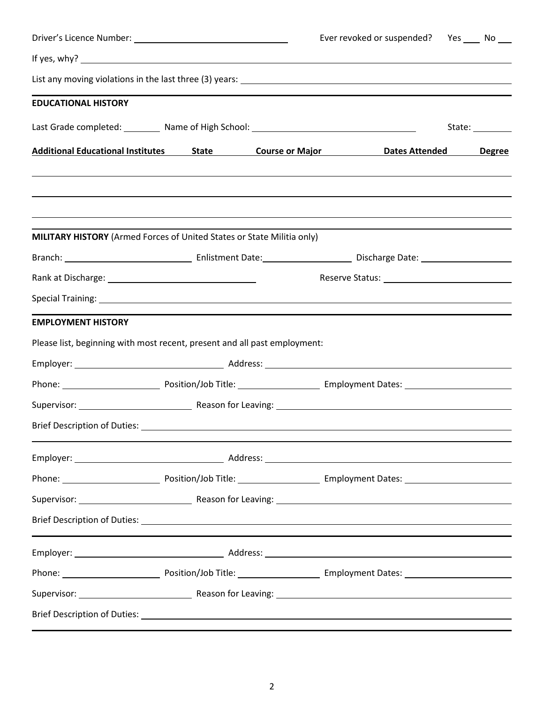|                                                                                                                |  |  | Ever revoked or suspended? Yes _____ No ____       |               |
|----------------------------------------------------------------------------------------------------------------|--|--|----------------------------------------------------|---------------|
|                                                                                                                |  |  |                                                    |               |
|                                                                                                                |  |  |                                                    |               |
| <b>EDUCATIONAL HISTORY</b>                                                                                     |  |  |                                                    |               |
| Last Grade completed: Mame of High School: Mass Communication Communication Control of High School:            |  |  | State: _________                                   |               |
| Additional Educational Institutes 5tate Course or Major Dates Attended                                         |  |  |                                                    | <b>Degree</b> |
|                                                                                                                |  |  |                                                    |               |
| MILITARY HISTORY (Armed Forces of United States or State Militia only)                                         |  |  |                                                    |               |
|                                                                                                                |  |  |                                                    |               |
|                                                                                                                |  |  | Reserve Status: National Assembly Preserve Status: |               |
|                                                                                                                |  |  |                                                    |               |
| <b>EMPLOYMENT HISTORY</b>                                                                                      |  |  |                                                    |               |
| Please list, beginning with most recent, present and all past employment:                                      |  |  |                                                    |               |
|                                                                                                                |  |  |                                                    |               |
|                                                                                                                |  |  |                                                    |               |
|                                                                                                                |  |  |                                                    |               |
| <b>Brief Description of Duties:</b>                                                                            |  |  |                                                    |               |
|                                                                                                                |  |  |                                                    |               |
|                                                                                                                |  |  |                                                    |               |
|                                                                                                                |  |  |                                                    |               |
| Brief Description of Duties: National Assembly of Duties: National Assembly of Duties and Assembly of Duties o |  |  |                                                    |               |
|                                                                                                                |  |  |                                                    |               |
|                                                                                                                |  |  |                                                    |               |
|                                                                                                                |  |  |                                                    |               |
|                                                                                                                |  |  |                                                    |               |
|                                                                                                                |  |  |                                                    |               |